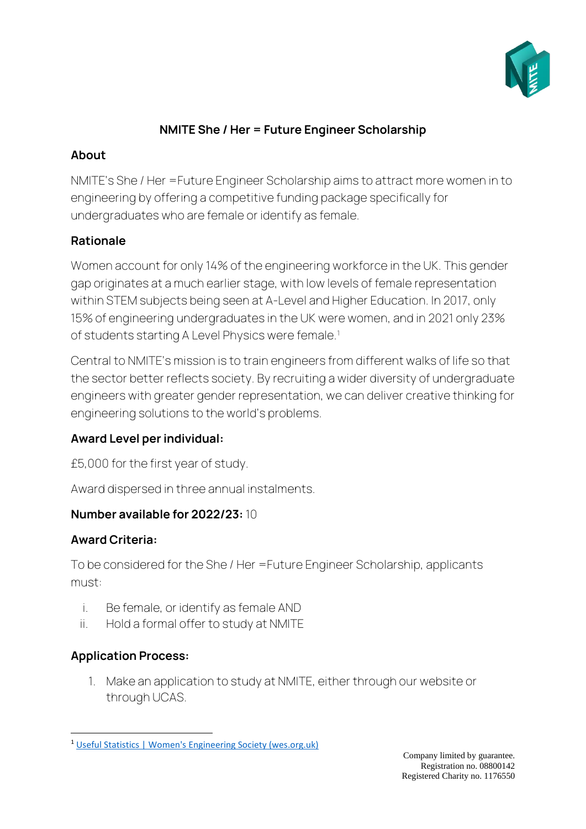

## **NMITE She / Her = Future Engineer Scholarship**

## **About**

NMITE's She / Her =Future Engineer Scholarship aims to attract more women in to engineering by offering a competitive funding package specifically for undergraduates who are female or identify as female.

# **Rationale**

Women account for only 14% of the engineering workforce in the UK. This gender gap originates at a much earlier stage, with low levels of female representation within STEM subjects being seen at A-Level and Higher Education. In 2017, only 15% of engineering undergraduates in the UK were women, and in 2021 only 23% of students starting A Level Physics were female.<sup>1</sup>

Central to NMITE's mission is to train engineers from different walks of life so that the sector better reflects society. By recruiting a wider diversity of undergraduate engineers with greater gender representation, we can deliver creative thinking for engineering solutions to the world's problems.

# **Award Level per individual:**

£5,000 for the first year of study.

Award dispersed in three annual instalments.

# **Number available for 2022/23:** 10

# **Award Criteria:**

To be considered for the She / Her =Future Engineer Scholarship, applicants must:

- i. Be female, or identify as female AND
- ii. Hold a formal offer to study at NMITE

# **Application Process:**

1. Make an application to study at NMITE, either through our website or through UCAS.

<sup>1</sup> [Useful Statistics | Women's Engineering Society \(wes.org.uk\)](https://www.wes.org.uk/content/wesstatistics)